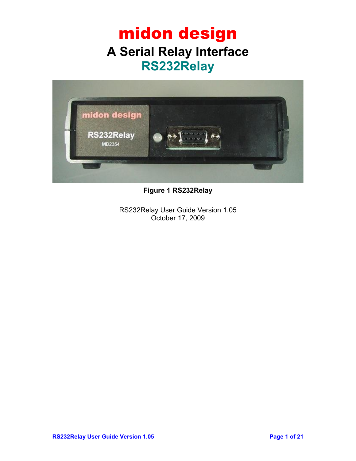### midon design **A Serial Relay Interface RS232Relay**



**Figure 1 RS232Relay**

RS232Relay User Guide Version 1.05 October 17, 2009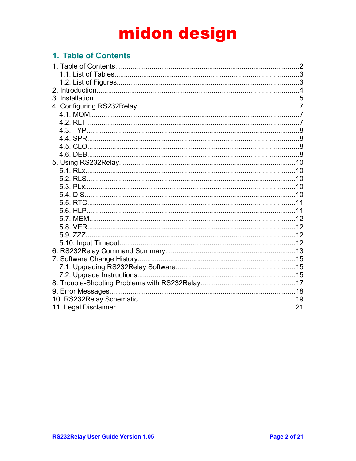### 1. Table of Contents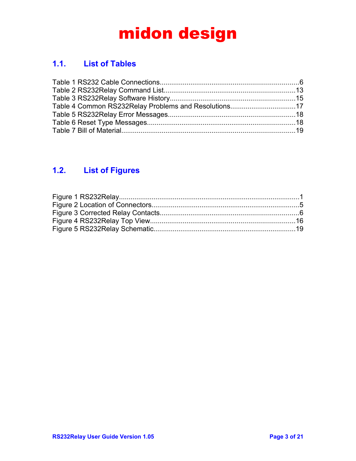### **1.1. List of Tables**

| Table 4 Common RS232Relay Problems and Resolutions17 |  |
|------------------------------------------------------|--|
|                                                      |  |
|                                                      |  |
|                                                      |  |

### **1.2. List of Figures**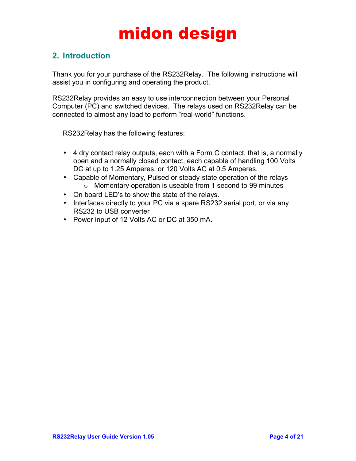### **2. Introduction**

Thank you for your purchase of the RS232Relay. The following instructions will assist you in configuring and operating the product.

RS232Relay provides an easy to use interconnection between your Personal Computer (PC) and switched devices. The relays used on RS232Relay can be connected to almost any load to perform "real-world" functions.

RS232Relay has the following features:

- 4 dry contact relay outputs, each with a Form C contact, that is, a normally open and a normally closed contact, each capable of handling 100 Volts DC at up to 1.25 Amperes, or 120 Volts AC at 0.5 Amperes.
- Capable of Momentary, Pulsed or steady-state operation of the relays o Momentary operation is useable from 1 second to 99 minutes
- On board LED's to show the state of the relays.
- Interfaces directly to your PC via a spare RS232 serial port, or via any RS232 to USB converter
- Power input of 12 Volts AC or DC at 350 mA.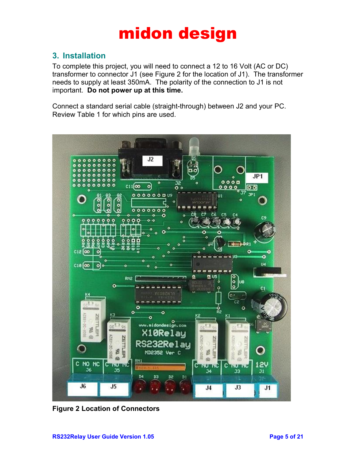### **3. Installation**

To complete this project, you will need to connect a 12 to 16 Volt (AC or DC) transformer to connector J1 (see Figure 2 for the location of J1). The transformer needs to supply at least 350mA. The polarity of the connection to J1 is not important. **Do not power up at this time.**

Connect a standard serial cable (straight-through) between J2 and your PC. Review Table 1 for which pins are used.



**Figure 2 Location of Connectors**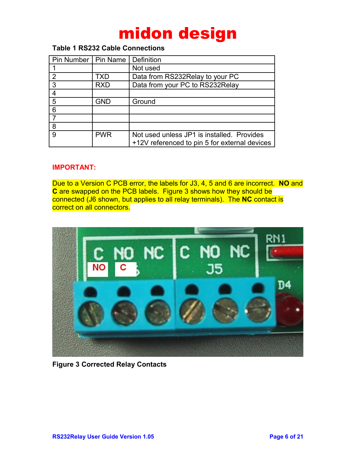#### **Table 1 RS232 Cable Connections**

| Pin Number   Pin Name |            | Definition                                                                                  |  |
|-----------------------|------------|---------------------------------------------------------------------------------------------|--|
|                       |            | Not used                                                                                    |  |
| $\mathcal{P}$         | TXD        | Data from RS232Relay to your PC                                                             |  |
| 3                     | <b>RXD</b> | Data from your PC to RS232Relay                                                             |  |
|                       |            |                                                                                             |  |
| 5                     | GND        | Ground                                                                                      |  |
| 6                     |            |                                                                                             |  |
|                       |            |                                                                                             |  |
| 8                     |            |                                                                                             |  |
| 9                     | <b>PWR</b> | Not used unless JP1 is installed. Provides<br>+12V referenced to pin 5 for external devices |  |

#### **IMPORTANT:**

Due to a Version C PCB error, the labels for J3, 4, 5 and 6 are incorrect. **NO** and **C** are swapped on the PCB labels. Figure 3 shows how they should be connected (J6 shown, but applies to all relay terminals). The **NC** contact is correct on all connectors.



**Figure 3 Corrected Relay Contacts**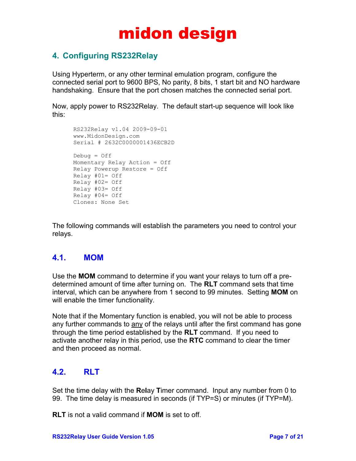### **4. Configuring RS232Relay**

Using Hyperterm, or any other terminal emulation program, configure the connected serial port to 9600 BPS, No parity, 8 bits, 1 start bit and NO hardware handshaking. Ensure that the port chosen matches the connected serial port.

Now, apply power to RS232Relay. The default start-up sequence will look like this:

```
RS232Relay v1.04 2009-09-01
www.MidonDesign.com 
Serial # 2632C0000001436ECB2D 
Debug = Off
Momentary Relay Action = Off
Relay Powerup Restore = Off
Relay #01= Off
Relay #02= Off
Relay #03= Off
Relay #04= Off
Clones: None Set
```
The following commands will establish the parameters you need to control your relays.

#### **4.1. MOM**

Use the **MOM** command to determine if you want your relays to turn off a predetermined amount of time after turning on. The **RLT** command sets that time interval, which can be anywhere from 1 second to 99 minutes. Setting **MOM** on will enable the timer functionality.

Note that if the Momentary function is enabled, you will not be able to process any further commands to any of the relays until after the first command has gone through the time period established by the **RLT** command. If you need to activate another relay in this period, use the **RTC** command to clear the timer and then proceed as normal.

### **4.2. RLT**

Set the time delay with the **R**e**l**ay **T**imer command. Input any number from 0 to 99. The time delay is measured in seconds (if TYP=S) or minutes (if TYP=M).

**RLT** is not a valid command if **MOM** is set to off.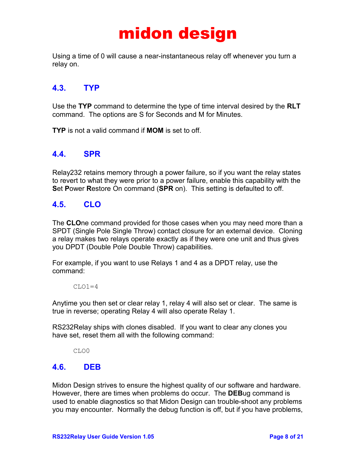Using a time of 0 will cause a near-instantaneous relay off whenever you turn a relay on.

#### **4.3. TYP**

Use the **TYP** command to determine the type of time interval desired by the **RLT** command. The options are S for Seconds and M for Minutes.

**TYP** is not a valid command if **MOM** is set to off.

#### **4.4. SPR**

Relay232 retains memory through a power failure, so if you want the relay states to revert to what they were prior to a power failure, enable this capability with the **S**et **P**ower **R**estore On command (**SPR** on). This setting is defaulted to off.

#### **4.5. CLO**

The **CLO**ne command provided for those cases when you may need more than a SPDT (Single Pole Single Throw) contact closure for an external device. Cloning a relay makes two relays operate exactly as if they were one unit and thus gives you DPDT (Double Pole Double Throw) capabilities.

For example, if you want to use Relays 1 and 4 as a DPDT relay, use the command:

 $CLO1=4$ 

Anytime you then set or clear relay 1, relay 4 will also set or clear. The same is true in reverse; operating Relay 4 will also operate Relay 1.

RS232Relay ships with clones disabled. If you want to clear any clones you have set, reset them all with the following command:

CLO0

#### **4.6. DEB**

Midon Design strives to ensure the highest quality of our software and hardware. However, there are times when problems do occur. The **DEB**ug command is used to enable diagnostics so that Midon Design can trouble-shoot any problems you may encounter. Normally the debug function is off, but if you have problems,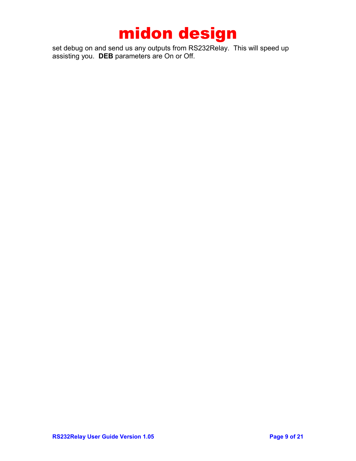set debug on and send us any outputs from RS232Relay. This will speed up assisting you. **DEB** parameters are On or Off.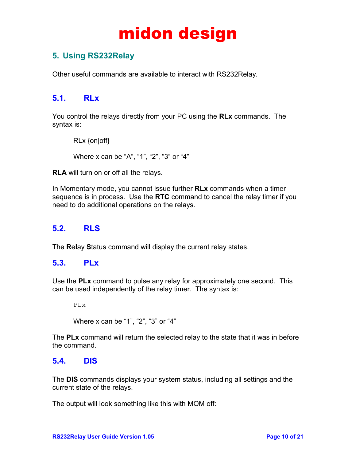### **5. Using RS232Relay**

Other useful commands are available to interact with RS232Relay.

#### **5.1. RLx**

You control the relays directly from your PC using the **RLx** commands. The syntax is:

```
RLx {on|off}
Where x can be "A", "1", "2", "3" or "4"
```
**RLA** will turn on or off all the relays.

In Momentary mode, you cannot issue further **RLx** commands when a timer sequence is in process. Use the **RTC** command to cancel the relay timer if you need to do additional operations on the relays.

### **5.2. RLS**

The **R**e**l**ay **S**tatus command will display the current relay states.

#### **5.3. PLx**

Use the **PLx** command to pulse any relay for approximately one second. This can be used independently of the relay timer. The syntax is:

PLx

Where x can be "1", "2", "3" or "4"

The **PLx** command will return the selected relay to the state that it was in before the command.

#### **5.4. DIS**

The **DIS** commands displays your system status, including all settings and the current state of the relays.

The output will look something like this with MOM off: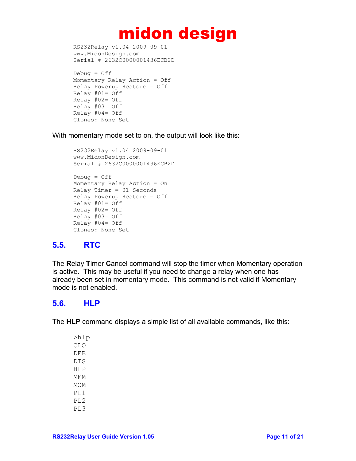```
RS232Relay v1.04 2009-09-01
www.MidonDesign.com 
Serial # 2632C0000001436ECB2D
```

```
Debuq = OffMomentary Relay Action = Off
Relay Powerup Restore = Off
Relay #01= Off
Relay #02= Off
Relay #03= Off
Relay #04= Off
Clones: None Set
```
With momentary mode set to on, the output will look like this:

```
RS232Relay v1.04 2009-09-01
www.MidonDesign.com 
Serial # 2632C0000001436ECB2D 
Debug = OffMomentary Relay Action = On 
Relay Timer = 01 Seconds
Relay Powerup Restore = Off
Relay #01= Off
Relay #02= Off
Relay #03= Off
Relay #04= Off
Clones: None Set
```
### **5.5. RTC**

The **R**elay **T**imer **C**ancel command will stop the timer when Momentary operation is active. This may be useful if you need to change a relay when one has already been set in momentary mode. This command is not valid if Momentary mode is not enabled.

### **5.6. HLP**

The **HLP** command displays a simple list of all available commands, like this:

>hlp CLO DEB DIS HLP MEM MOM PL1 PL2 PL3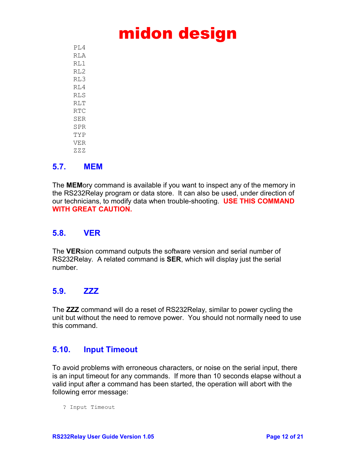$PT<sub>1</sub>4$ RLA  $RT.1$ RL2 RL3 RL4 RLS RLT RTC SER SPR TYP VER ZZZ

#### **5.7. MEM**

The **MEM**ory command is available if you want to inspect any of the memory in the RS232Relay program or data store. It can also be used, under direction of our technicians, to modify data when trouble-shooting. **USE THIS COMMAND WITH GREAT CAUTION.**

#### **5.8. VER**

The **VER**sion command outputs the software version and serial number of RS232Relay. A related command is **SER**, which will display just the serial number.

#### **5.9. ZZZ**

The **ZZZ** command will do a reset of RS232Relay, similar to power cycling the unit but without the need to remove power. You should not normally need to use this command.

#### **5.10. Input Timeout**

To avoid problems with erroneous characters, or noise on the serial input, there is an input timeout for any commands. If more than 10 seconds elapse without a valid input after a command has been started, the operation will abort with the following error message:

? Input Timeout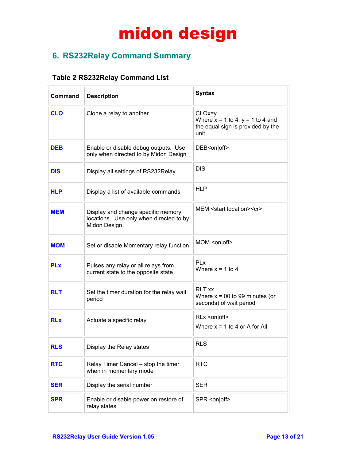### **6. RS232Relay Command Summary**

#### **Table 2 RS232Relay Command List**

| <b>Command</b> | <b>Description</b>                                                                            | <b>Syntax</b>                                                                                 |  |
|----------------|-----------------------------------------------------------------------------------------------|-----------------------------------------------------------------------------------------------|--|
| <b>CLO</b>     | Clone a relay to another                                                                      | $CLOx=y$<br>Where $x = 1$ to 4, $y = 1$ to 4 and<br>the equal sign is provided by the<br>unit |  |
| <b>DEB</b>     | Enable or disable debug outputs. Use<br>only when directed to by Midon Design                 | DEB <on off></on off>                                                                         |  |
| <b>DIS</b>     | Display all settings of RS232Relay                                                            | <b>DIS</b>                                                                                    |  |
| <b>HLP</b>     | Display a list of available commands                                                          | <b>HLP</b>                                                                                    |  |
| <b>MEM</b>     | Display and change specific memory<br>locations. Use only when directed to by<br>Midon Design | MEM <start location=""><cr></cr></start>                                                      |  |
| <b>MOM</b>     | Set or disable Momentary relay function                                                       | MOM <on off></on off>                                                                         |  |
| <b>PLx</b>     | Pulses any relay or all relays from<br>current state to the opposite state                    | PLx<br>Where $x = 1$ to 4                                                                     |  |
| <b>RLT</b>     | Set the timer duration for the relay wait<br>period                                           | <b>RLT</b> xx<br>Where $x = 00$ to 99 minutes (or<br>seconds) of wait period                  |  |
| <b>RLx</b>     | Actuate a specific relay                                                                      | RLx <on off><br/>Where <math>x = 1</math> to 4 or A for All</on off>                          |  |
| <b>RLS</b>     | Display the Relay states                                                                      | <b>RLS</b>                                                                                    |  |
| <b>RTC</b>     | Relay Timer Cancel - stop the timer<br>when in momentary mode                                 | <b>RTC</b>                                                                                    |  |
| <b>SER</b>     | Display the serial number                                                                     | <b>SER</b>                                                                                    |  |
| <b>SPR</b>     | Enable or disable power on restore of<br>relay states                                         | SPR <on off></on off>                                                                         |  |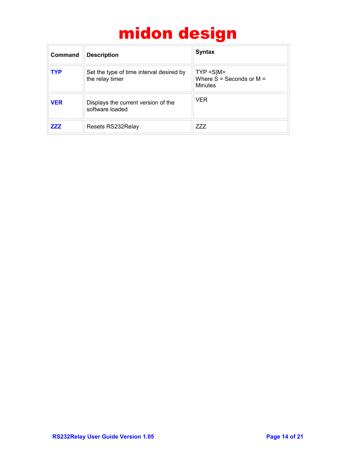| Command    | <b>Description</b>                                          | <b>Syntax</b>                                            |
|------------|-------------------------------------------------------------|----------------------------------------------------------|
| <b>TYP</b> | Set the type of time interval desired by<br>the relay timer | $TYP < S$  M><br>Where $S =$ Seconds or $M =$<br>Minutes |
| <b>VER</b> | Displays the current version of the<br>software loaded      | <b>VER</b>                                               |
| ZZZ        | Resets RS232Relay                                           | 777                                                      |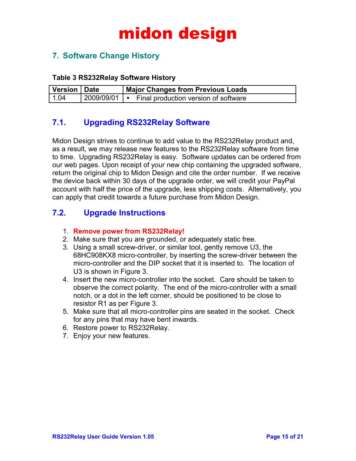### **7. Software Change History**

#### **Table 3 RS232Relay Software History**

| Version   Date | <b>Major Changes from Previous Loads</b>            |
|----------------|-----------------------------------------------------|
| 1.04           | 2009/09/01   • Final production version of software |

#### **7.1. Upgrading RS232Relay Software**

Midon Design strives to continue to add value to the RS232Relay product and, as a result, we may release new features to the RS232Relay software from time to time. Upgrading RS232Relay is easy. Software updates can be ordered from our web pages. Upon receipt of your new chip containing the upgraded software, return the original chip to Midon Design and cite the order number. If we receive the device back within 30 days of the upgrade order, we will credit your PayPal account with half the price of the upgrade, less shipping costs. Alternatively, you can apply that credit towards a future purchase from Midon Design.

#### **7.2. Upgrade Instructions**

- 1. **Remove power from RS232Relay!**
- 2. Make sure that you are grounded, or adequately static free.
- 3. Using a small screw-driver, or similar tool, gently remove U3, the 68HC908KX8 micro-controller, by inserting the screw-driver between the micro-controller and the DIP socket that it is inserted to. The location of U3 is shown in Figure 3.
- 4. Insert the new micro-controller into the socket. Care should be taken to observe the correct polarity. The end of the micro-controller with a small notch, or a dot in the left corner, should be positioned to be close to resistor R1 as per Figure 3.
- 5. Make sure that all micro-controller pins are seated in the socket. Check for any pins that may have bent inwards.
- 6. Restore power to RS232Relay.
- 7. Enjoy your new features.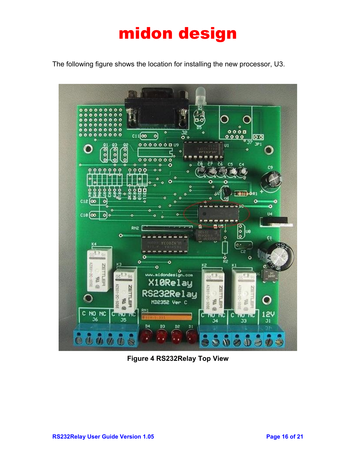The following figure shows the location for installing the new processor, U3.



**Figure 4 RS232Relay Top View**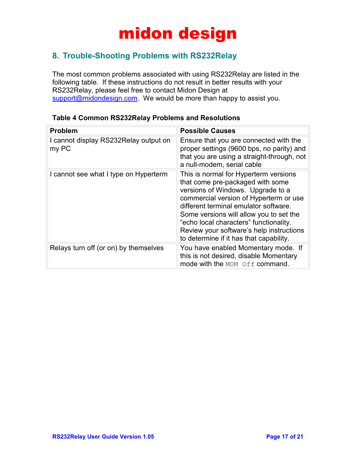### **8. Trouble-Shooting Problems with RS232Relay**

The most common problems associated with using RS232Relay are listed in the following table. If these instructions do not result in better results with your RS232Relay, please feel free to contact Midon Design at [support@midondesign.com.](mailto:support@midondesign.com) We would be more than happy to assist you.

| <b>Problem</b>                                 | <b>Possible Causes</b>                                                                                                                                                                                                                                                                                                                                                        |
|------------------------------------------------|-------------------------------------------------------------------------------------------------------------------------------------------------------------------------------------------------------------------------------------------------------------------------------------------------------------------------------------------------------------------------------|
| I cannot display RS232Relay output on<br>my PC | Ensure that you are connected with the<br>proper settings (9600 bps, no parity) and<br>that you are using a straight-through, not<br>a null-modem, serial cable                                                                                                                                                                                                               |
| I cannot see what I type on Hyperterm          | This is normal for Hyperterm versions<br>that come pre-packaged with some<br>versions of Windows. Upgrade to a<br>commercial version of Hyperterm or use<br>different terminal emulator software.<br>Some versions will allow you to set the<br>"echo local characters" functionality.<br>Review your software's help instructions<br>to determine if it has that capability. |
| Relays turn off (or on) by themselves          | You have enabled Momentary mode. If<br>this is not desired, disable Momentary<br>mode with the MOM Off command.                                                                                                                                                                                                                                                               |

#### **Table 4 Common RS232Relay Problems and Resolutions**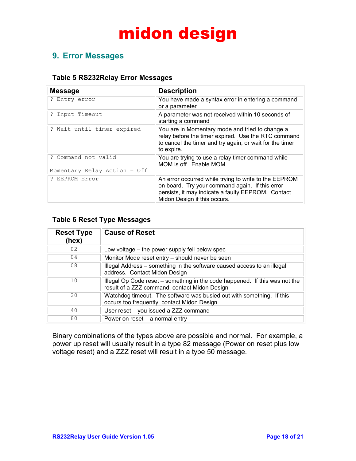### **9. Error Messages**

#### **Table 5 RS232Relay Error Messages**

| <b>Message</b>                 | <b>Description</b>                                                                                                                                                                             |
|--------------------------------|------------------------------------------------------------------------------------------------------------------------------------------------------------------------------------------------|
| ? Entry error                  | You have made a syntax error in entering a command<br>or a parameter                                                                                                                           |
| ? Input Timeout                | A parameter was not received within 10 seconds of<br>starting a command                                                                                                                        |
| ? Wait until timer expired     | You are in Momentary mode and tried to change a<br>relay before the timer expired. Use the RTC command<br>to cancel the timer and try again, or wait for the timer<br>to expire.               |
| ? Command not valid            | You are trying to use a relay timer command while<br>MOM is off. Enable MOM.                                                                                                                   |
| Momentary Relay Action = $Off$ |                                                                                                                                                                                                |
| ? EEPROM Error                 | An error occurred while trying to write to the EEPROM<br>on board. Try your command again. If this error<br>persists, it may indicate a faulty EEPROM. Contact<br>Midon Design if this occurs. |

#### **Table 6 Reset Type Messages**

| <b>Reset Type</b><br>(hex) | <b>Cause of Reset</b>                                                                                                        |
|----------------------------|------------------------------------------------------------------------------------------------------------------------------|
| 02                         | Low voltage – the power supply fell below spec                                                                               |
| 04                         | Monitor Mode reset entry – should never be seen                                                                              |
| 08                         | Illegal Address – something in the software caused access to an illegal<br>address. Contact Midon Design                     |
| 10                         | Illegal Op Code reset – something in the code happened. If this was not the<br>result of a ZZZ command, contact Midon Design |
| 20                         | Watchdog timeout. The software was busied out with something. If this<br>occurs too frequently, contact Midon Design         |
| 40                         | User reset - you issued a ZZZ command                                                                                        |
| 80                         | Power on reset $-$ a normal entry                                                                                            |

Binary combinations of the types above are possible and normal. For example, a power up reset will usually result in a type 82 message (Power on reset plus low voltage reset) and a ZZZ reset will result in a type 50 message.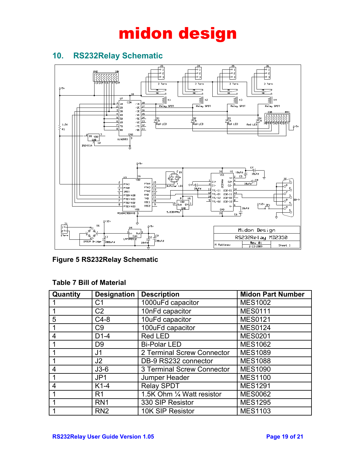### **10. RS232Relay Schematic**



**Figure 5 RS232Relay Schematic**

| Quantity | <b>Designation</b> | <b>Description</b>         | <b>Midon Part Number</b> |
|----------|--------------------|----------------------------|--------------------------|
|          | C1                 | 1000uFd capacitor          | <b>MES1002</b>           |
|          | C <sub>2</sub>     | 10nFd capacitor            | <b>MES0111</b>           |
| 5        | $C4-8$             | 10uFd capacitor            | <b>MES0121</b>           |
|          | C <sub>9</sub>     | 100uFd capacitor           | <b>MES0124</b>           |
| 4        | $D1-4$             | <b>Red LED</b>             | <b>MES0201</b>           |
|          | D <sub>9</sub>     | <b>Bi-Polar LED</b>        | <b>MES1062</b>           |
|          | J1                 | 2 Terminal Screw Connector | <b>MES1089</b>           |
|          | J <sub>2</sub>     | DB-9 RS232 connector       | <b>MES1088</b>           |
| 4        | $J3-6$             | 3 Terminal Screw Connector | <b>MES1090</b>           |
|          | JP <sub>1</sub>    | Jumper Header              | <b>MES1100</b>           |
| 4        | $K1-4$             | <b>Relay SPDT</b>          | <b>MES1291</b>           |
|          | R <sub>1</sub>     | 1.5K Ohm 1/4 Watt resistor | <b>MES0062</b>           |
|          | RN <sub>1</sub>    | 330 SIP Resistor           | <b>MES1295</b>           |
|          | RN <sub>2</sub>    | 10K SIP Resistor           | <b>MES1103</b>           |

#### **Table 7 Bill of Material**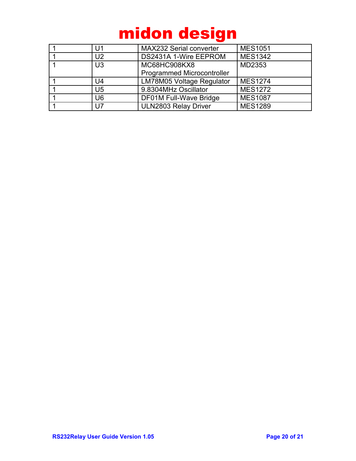| U1             | <b>MAX232 Serial converter</b>    | <b>MES1051</b> |
|----------------|-----------------------------------|----------------|
| U2             | DS2431A 1-Wire EEPROM             | <b>MES1342</b> |
| U <sub>3</sub> | MC68HC908KX8                      | MD2353         |
|                | <b>Programmed Microcontroller</b> |                |
| U4             | LM78M05 Voltage Regulator         | <b>MES1274</b> |
| U5             | 9.8304MHz Oscillator              | <b>MES1272</b> |
| U6             | DF01M Full-Wave Bridge            | <b>MES1087</b> |
| U7             | <b>ULN2803 Relay Driver</b>       | <b>MES1289</b> |